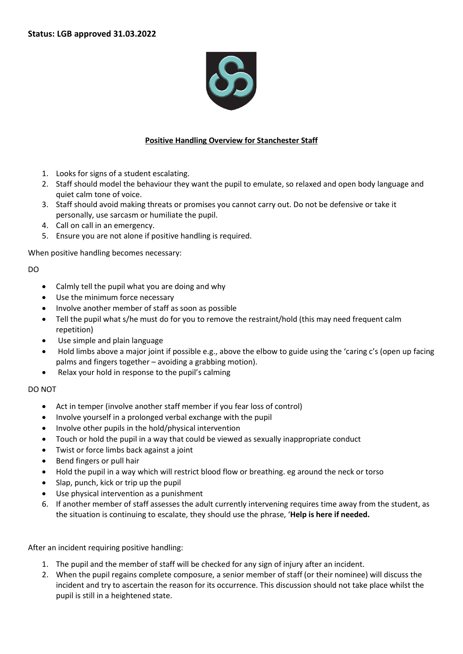

## **Positive Handling Overview for Stanchester Staff**

- 1. Looks for signs of a student escalating.
- 2. Staff should model the behaviour they want the pupil to emulate, so relaxed and open body language and quiet calm tone of voice.
- 3. Staff should avoid making threats or promises you cannot carry out. Do not be defensive or take it personally, use sarcasm or humiliate the pupil.
- 4. Call on call in an emergency.
- 5. Ensure you are not alone if positive handling is required.

When positive handling becomes necessary:

DO

- Calmly tell the pupil what you are doing and why
- Use the minimum force necessary
- Involve another member of staff as soon as possible
- Tell the pupil what s/he must do for you to remove the restraint/hold (this may need frequent calm repetition)
- Use simple and plain language
- Hold limbs above a major joint if possible e.g., above the elbow to guide using the 'caring c's (open up facing palms and fingers together – avoiding a grabbing motion).
- Relax your hold in response to the pupil's calming

DO NOT

- Act in temper (involve another staff member if you fear loss of control)
- Involve yourself in a prolonged verbal exchange with the pupil
- Involve other pupils in the hold/physical intervention
- Touch or hold the pupil in a way that could be viewed as sexually inappropriate conduct
- Twist or force limbs back against a joint
- Bend fingers or pull hair
- Hold the pupil in a way which will restrict blood flow or breathing. eg around the neck or torso
- Slap, punch, kick or trip up the pupil
- Use physical intervention as a punishment
- 6. If another member of staff assesses the adult currently intervening requires time away from the student, as the situation is continuing to escalate, they should use the phrase, '**Help is here if needed.**

After an incident requiring positive handling:

- 1. The pupil and the member of staff will be checked for any sign of injury after an incident.
- 2. When the pupil regains complete composure, a senior member of staff (or their nominee) will discuss the incident and try to ascertain the reason for its occurrence. This discussion should not take place whilst the pupil is still in a heightened state.